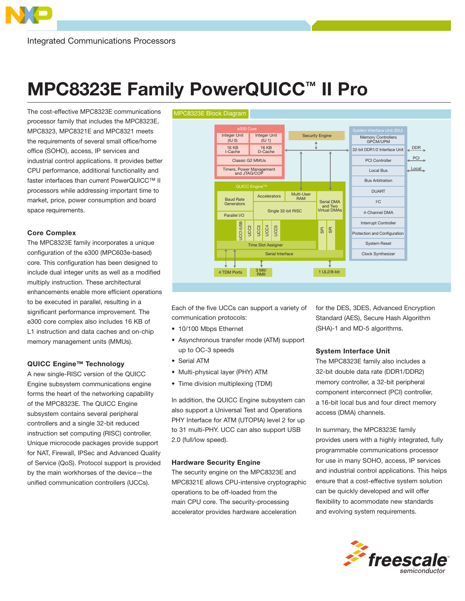# MPC8323E Family PowerQUICC™ II Pro

The cost-effective MPC8323E communications processor family that includes the MPC8323E, MPC8323, MPC8321E and MPC8321 meets the requirements of several small office/home office (SOHO), access, IP services and industrial control applications. It provides better CPU performance, additional functionality and faster interfaces than current PowerQUICC™ II processors while addressing important time to market, price, power consumption and board space requirements.

## Core Complex

The MPC8323E family incorporates a unique configuration of the e300 (MPC603e-based) core. This configuration has been designed to include dual integer units as well as a modified multiply instruction. These architectural enhancements enable more efficient operations to be executed in parallel, resulting in a significant performance improvement. The e300 core complex also includes 16 KB of L1 instruction and data caches and on-chip memory management units (MMUs).

#### QUICC Engine™ Technology

A new single-RISC version of the QUICC Engine subsystem communications engine forms the heart of the networking capability of the MPC8323E. The QUICC Engine subsystem contains several peripheral controllers and a single 32-bit reduced instruction set computing (RISC) controller. Unique microcode packages provide support for NAT, Firewall, IPSec and Advanced Quality of Service (QoS). Protocol support is provided by the main workhorses of the device—the unified communication controllers (UCCs).



Each of the five UCCs can support a variety of communication protocols:

- 10/100 Mbps Ethernet
- Asynchronous transfer mode (ATM) support up to OC-3 speeds
- Serial ATM
- Multi-physical layer (PHY) ATM
- Time division multiplexing (TDM)

In addition, the QUICC Engine subsystem can also support a Universal Test and Operations PHY Interface for ATM (UTOPIA) level 2 for up to 31 multi-PHY. UCC can also support USB 2.0 (full/low speed).

#### Hardware Security Engine

The security engine on the MPC8323E and MPC8321E allows CPU-intensive cryptographic operations to be off-loaded from the main CPU core. The security-processing accelerator provides hardware acceleration

for the DES, 3DES, Advanced Encryption Standard (AES), Secure Hash Algorithm (SHA)-1 and MD-5 algorithms.

#### System Interface Unit

The MPC8323E family also includes a 32-bit double data rate (DDR1/DDR2) memory controller, a 32-bit peripheral component interconnect (PCI) controller, a 16-bit local bus and four direct memory access (DMA) channels.

In summary, the MPC8323E family provides users with a highly integrated, fully programmable communications processor for use in many SOHO, access, IP services and industrial control applications. This helps ensure that a cost-effective system solution can be quickly developed and will offer flexibility to acommodate new standards and evolving system requirements.